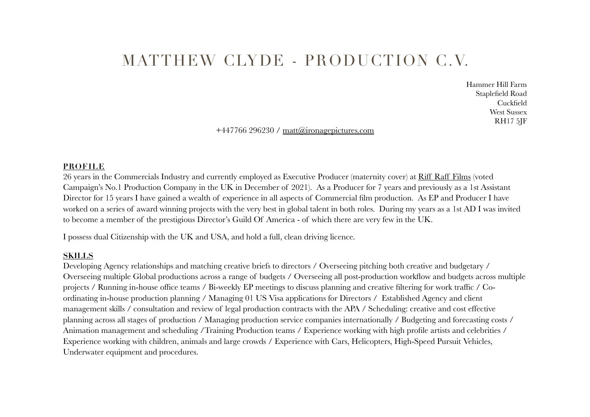# MATTHEW CLYDE - PRODUCTION C.V.

Hammer Hill Farm Staplefield Road Cuckfield West Sussex RH17 5JF

+447766 296230 / [matt@ironagepictures.com](mailto:matt@ironagepictures.com)

#### **PROFILE**

26 years in the Commercials Industry and currently employed as Executive Producer (maternity cover) at [Riff Raff Films](https://www.riffrafffilms.tv/) (voted Campaign's No.1 Production Company in the UK in December of 2021). As a Producer for 7 years and previously as a 1st Assistant Director for 15 years I have gained a wealth of experience in all aspects of Commercial film production. As EP and Producer I have worked on a series of award winning projects with the very best in global talent in both roles. During my years as a 1st AD I was invited to become a member of the prestigious Director's Guild Of America - of which there are very few in the UK.

I possess dual Citizenship with the UK and USA, and hold a full, clean driving licence.

#### **SKILLS**

Developing Agency relationships and matching creative briefs to directors / Overseeing pitching both creative and budgetary / Overseeing multiple Global productions across a range of budgets / Overseeing all post-production workflow and budgets across multiple projects / Running in-house office teams / Bi-weekly EP meetings to discuss planning and creative filtering for work traffic / Coordinating in-house production planning / Managing 01 US Visa applications for Directors / Established Agency and client management skills / consultation and review of legal production contracts with the APA / Scheduling: creative and cost effective planning across all stages of production / Managing production service companies internationally / Budgeting and forecasting costs / Animation management and scheduling /Training Production teams / Experience working with high profile artists and celebrities / Experience working with children, animals and large crowds / Experience with Cars, Helicopters, High-Speed Pursuit Vehicles, Underwater equipment and procedures.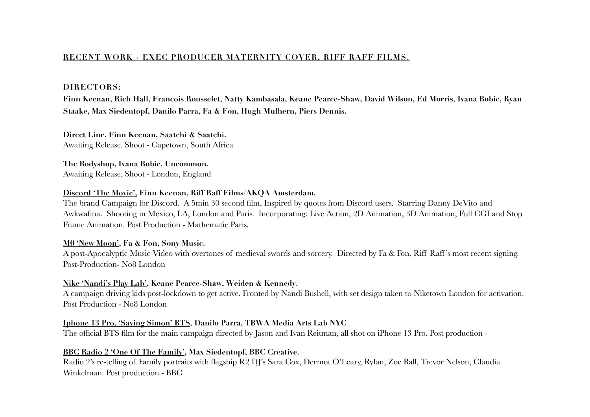#### **RECENT WORK - EXEC PRODUCER MATERNITY COVER, RIFF RAFF FILMS.**

#### **DIRECTORS:**

**Finn Keenan, Rich Hall, Francois Rousselet, Natty Kambasala, Keane Pearce-Shaw, David Wilson, Ed Morris, Ivana Bobic, Ryan Staake, Max Siedentopf, Danilo Parra, Fa & Fon, Hugh Mulhern, Piers Dennis.**

**Direct Line, Finn Keenan, Saatchi & Saatchi.** Awaiting Release. Shoot - Capetown, South Africa

**The Bodyshop, Ivana Bobic, Uncommon.** Awaiting Release. Shoot - London, England

## **[Discord 'The Movie',](https://www.riffrafffilms.tv/directors/finn-keenan/finn-keenan-discord-the-movie-2021) Finn Keenan, Riff Raff Films/AKQA Amsterdam.**

The brand Campaign for Discord. A 5min 30 second film, Inspired by quotes from Discord users. Starring Danny DeVito and Awkwafina. Shooting in Mexico, LA, London and Paris. Incorporating: Live Action, 2D Animation, 3D Animation, Full CGI and Stop Frame Animation. Post Production - Mathematic Paris.

#### **[M0 'New Moon',](https://www.riffrafffilms.tv/nursery-of-evil/fa-and-fon/fa-and-fon-mo-new-moon) Fa & Fon, Sony Music.**

A post-Apocalyptic Music Video with overtones of medieval swords and sorcery. Directed by Fa & Fon, Riff Raff 's most recent signing. Post-Production- No8 London

#### **[Nike 'Nandi's Play Lab'](https://www.youtube.com/watch?v=LNN8mpBh1gk), Keane Pearce-Shaw, Weiden & Kennedy.**

A campaign driving kids post-lockdown to get active. Fronted by Nandi Bushell, with set design taken to Niketown London for activation. Post Production - No8 London

#### **[Iphone 13 Pro, 'Saving Simon' BTS](https://www.youtube.com/watch?v=S5WaFx8rx54), Danilo Parra, TBWA Media Arts Lab NYC**

The official BTS film for the main campaign directed by Jason and Ivan Reitman, all shot on iPhone 13 Pro. Post production -

# **[BBC Radio 2 'One Of The Family'](https://www.riffrafffilms.tv/directors/max-siedentopf/max-siedentopf-bbc-radio-2-one-of-the-family), Max Siedentopf, BBC Creative.**

Radio 2's re-telling of Family portraits with flagship R2 DJ's Sara Cox, Dermot O'Leary, Rylan, Zoe Ball, Trevor Nelson, Claudia Winkelman. Post production - BBC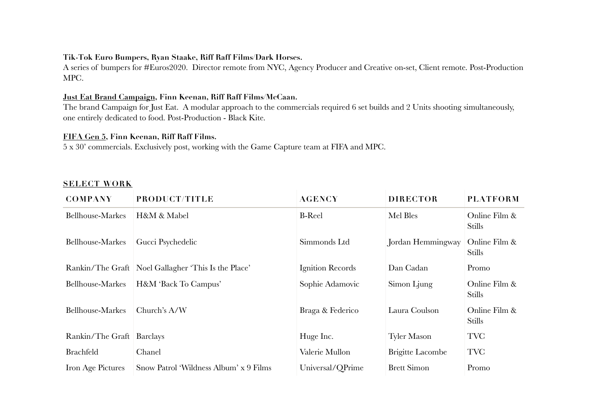#### **Tik-Tok Euro Bumpers, Ryan Staake, Riff Raff Films/Dark Horses.**

A series of bumpers for #Euros2020. Director remote from NYC, Agency Producer and Creative on-set, Client remote. Post-Production MPC.

# **[Just Eat Brand Campaign](https://www.riffrafffilms.tv/directors/finn-keenan), Finn Keenan, Riff Raff Films/McCaan.**

The brand Campaign for Just Eat. A modular approach to the commercials required 6 set builds and 2 Units shooting simultaneously, one entirely dedicated to food. Post-Production - Black Kite.

## **[FIFA Gen 5](https://www.riffrafffilms.tv/directors/finn-keenan), Finn Keenan, Riff Raff Films.**

5 x 30' commercials. Exclusively post, working with the Game Capture team at FIFA and MPC.

# **SELECT WORK**

| <b>COMPANY</b>              | PRODUCT/TITLE                                         | <b>AGENCY</b>    | <b>DIRECTOR</b>         | <b>PLATFORM</b>                |
|-----------------------------|-------------------------------------------------------|------------------|-------------------------|--------------------------------|
| <b>Bellhouse-Markes</b>     | H&M & Mabel                                           | <b>B-Reel</b>    | Mel Bles                | Online Film &<br><b>Stills</b> |
| <b>Bellhouse-Markes</b>     | Gucci Psychedelic                                     | Simmonds Ltd     | Jordan Hemmingway       | Online Film &<br><b>Stills</b> |
|                             | Rankin/The Graft   Noel Gallagher 'This Is the Place' | Ignition Records | Dan Cadan               | Promo                          |
| <b>Bellhouse-Markes</b>     | H&M 'Back To Campus'                                  | Sophie Adamovic  | Simon Ljung             | Online Film &<br><b>Stills</b> |
| <b>Bellhouse-Markes</b>     | Church's A/W                                          | Braga & Federico | Laura Coulson           | Online Film &<br><b>Stills</b> |
| Rankin/The Graft   Barclays |                                                       | Huge Inc.        | <b>Tyler Mason</b>      | <b>TVC</b>                     |
| <b>Brachfeld</b>            | Chanel                                                | Valerie Mullon   | <b>Brigitte Lacombe</b> | <b>TVC</b>                     |
| Iron Age Pictures           | Snow Patrol 'Wildness Album' x 9 Films                | Universal/QPrime | <b>Brett Simon</b>      | Promo                          |